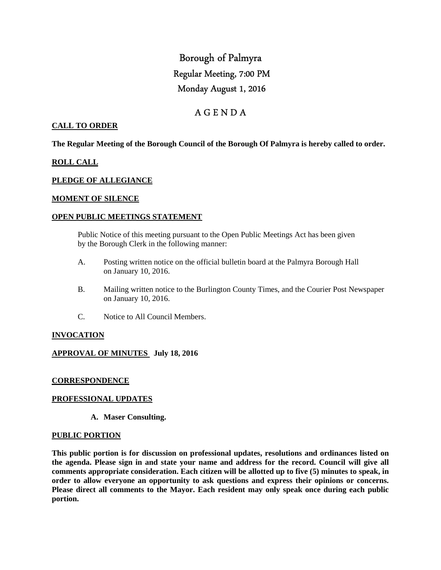# Borough of Palmyra Regular Meeting, 7:00 PM Monday August 1, 2016

# A G E N D A

# **CALL TO ORDER**

**The Regular Meeting of the Borough Council of the Borough Of Palmyra is hereby called to order.** 

#### **ROLL CALL**

#### **PLEDGE OF ALLEGIANCE**

#### **MOMENT OF SILENCE**

#### **OPEN PUBLIC MEETINGS STATEMENT**

 Public Notice of this meeting pursuant to the Open Public Meetings Act has been given by the Borough Clerk in the following manner:

- A. Posting written notice on the official bulletin board at the Palmyra Borough Hall on January 10, 2016.
- B. Mailing written notice to the Burlington County Times, and the Courier Post Newspaper on January 10, 2016.
- C. Notice to All Council Members.

#### **INVOCATION**

#### **APPROVAL OF MINUTES July 18, 2016**

#### **CORRESPONDENCE**

#### **PROFESSIONAL UPDATES**

**A. Maser Consulting.** 

#### **PUBLIC PORTION**

**This public portion is for discussion on professional updates, resolutions and ordinances listed on the agenda. Please sign in and state your name and address for the record. Council will give all comments appropriate consideration. Each citizen will be allotted up to five (5) minutes to speak, in order to allow everyone an opportunity to ask questions and express their opinions or concerns. Please direct all comments to the Mayor. Each resident may only speak once during each public portion.**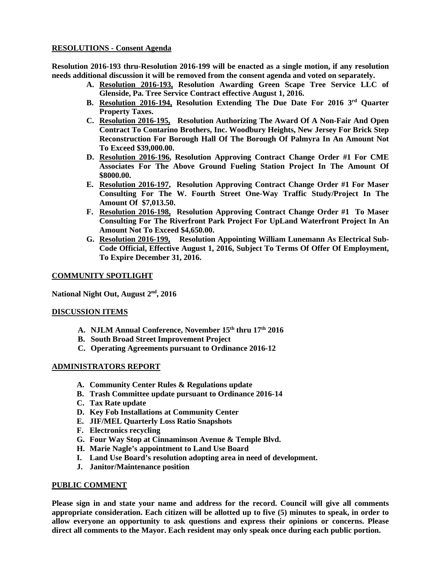# **RESOLUTIONS - Consent Agenda**

**Resolution 2016-193 thru-Resolution 2016-199 will be enacted as a single motion, if any resolution needs additional discussion it will be removed from the consent agenda and voted on separately.** 

- **A. Resolution 2016-193, Resolution Awarding Green Scape Tree Service LLC of Glenside, Pa. Tree Service Contract effective August 1, 2016.**
- **B. Resolution 2016-194, Resolution Extending The Due Date For 2016 3rd Quarter Property Taxes.**
- **C. Resolution 2016-195, Resolution Authorizing The Award Of A Non-Fair And Open Contract To Contarino Brothers, Inc. Woodbury Heights, New Jersey For Brick Step Reconstruction For Borough Hall Of The Borough Of Palmyra In An Amount Not To Exceed \$39,000.00.**
- **D. Resolution 2016-196, Resolution Approving Contract Change Order #1 For CME Associates For The Above Ground Fueling Station Project In The Amount Of \$8000.00.**
- **E. Resolution 2016-197, Resolution Approving Contract Change Order #1 For Maser Consulting For The W. Fourth Street One-Way Traffic Study/Project In The Amount Of \$7,013.50.**
- **F. Resolution 2016-198, Resolution Approving Contract Change Order #1 To Maser Consulting For The Riverfront Park Project For UpLand Waterfront Project In An Amount Not To Exceed \$4,650.00.**
- **G. Resolution 2016-199, Resolution Appointing William Lunemann As Electrical Sub-Code Official, Effective August 1, 2016, Subject To Terms Of Offer Of Employment, To Expire December 31, 2016.**

# **COMMUNITY SPOTLIGHT**

**National Night Out, August 2nd, 2016** 

#### **DISCUSSION ITEMS**

- **A. NJLM Annual Conference, November 15th thru 17th 2016**
- **B. South Broad Street Improvement Project**
- **C. Operating Agreements pursuant to Ordinance 2016-12**

#### **ADMINISTRATORS REPORT**

- **A. Community Center Rules & Regulations update**
- **B. Trash Committee update pursuant to Ordinance 2016-14**
- **C. Tax Rate update**
- **D. Key Fob Installations at Community Center**
- **E. JIF/MEL Quarterly Loss Ratio Snapshots**
- **F. Electronics recycling**
- **G. Four Way Stop at Cinnaminson Avenue & Temple Blvd.**
- **H. Marie Nagle's appointment to Land Use Board**
- **I. Land Use Board's resolution adopting area in need of development.**
- **J. Janitor/Maintenance position**

#### **PUBLIC COMMENT**

**Please sign in and state your name and address for the record. Council will give all comments appropriate consideration. Each citizen will be allotted up to five (5) minutes to speak, in order to allow everyone an opportunity to ask questions and express their opinions or concerns. Please direct all comments to the Mayor. Each resident may only speak once during each public portion.**